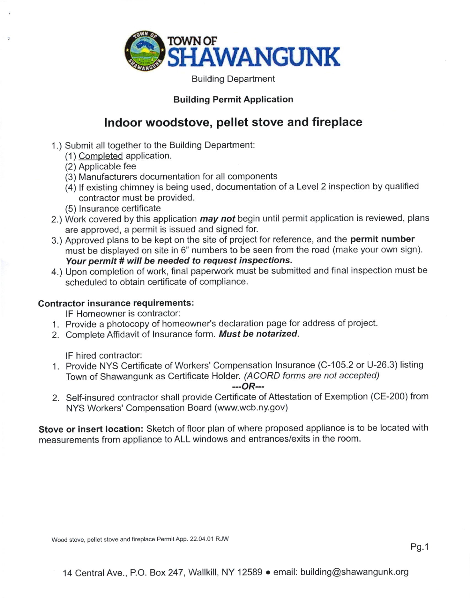

Building Department

## Building Permit Application

## lndoor woodstove, pellet stove and fireplace

- 1.) Submit all together to the Building Department:
	- (1 ) Completed application.
	- (2) Applicable fee
	- (3) Manufacturers documentation for all components
	- (4) lf existing chimney is being used, documentation of a Level 2 inspection by qualified contractor must be provided.
	- (5) lnsurance certificate
- 2.) Work covered by this application *may not* begin until permit application is reviewed, plans are approved, a permit is issued and signed for.
- 3.) Approved plans to be kept on the site of project for reference, and the permit number must be displayed on site in 6" numbers to be seen from the road (make your own sign). Your permit # will be needed to request inspections.
- 4.) Upon completion of work, final paperwork must be submitted and final inspection must be scheduled to obtain certificate of compliance.

## Contractor insurance requirements:

lF Homeowner is contractor:

- 1. Provide a photocopy of homeowner's declaration page for address of project.
- 2. Complete Affidavit of Insurance form. Must be notarized.

lF hired contractor:

<sup>1</sup>. Provide NYS Certificate of Workers' Compensation lnsurance (C-105.2 or U-26.3) listing Town of Shawangunk as Certificate Holder. (ACORD forms are not accepted)

## $-$ - $OR$ ---

2. Self-insured contractor shall provide Certificate of Attestation of Exemption (CE-200) from NYS Workers' Compensation Board (www.wcb.ny.gov)

Stove or insert location: Sketch of floor plan of where proposed appliance is to be located with measurements from appliance to ALL windows and entrances/exits in the room.